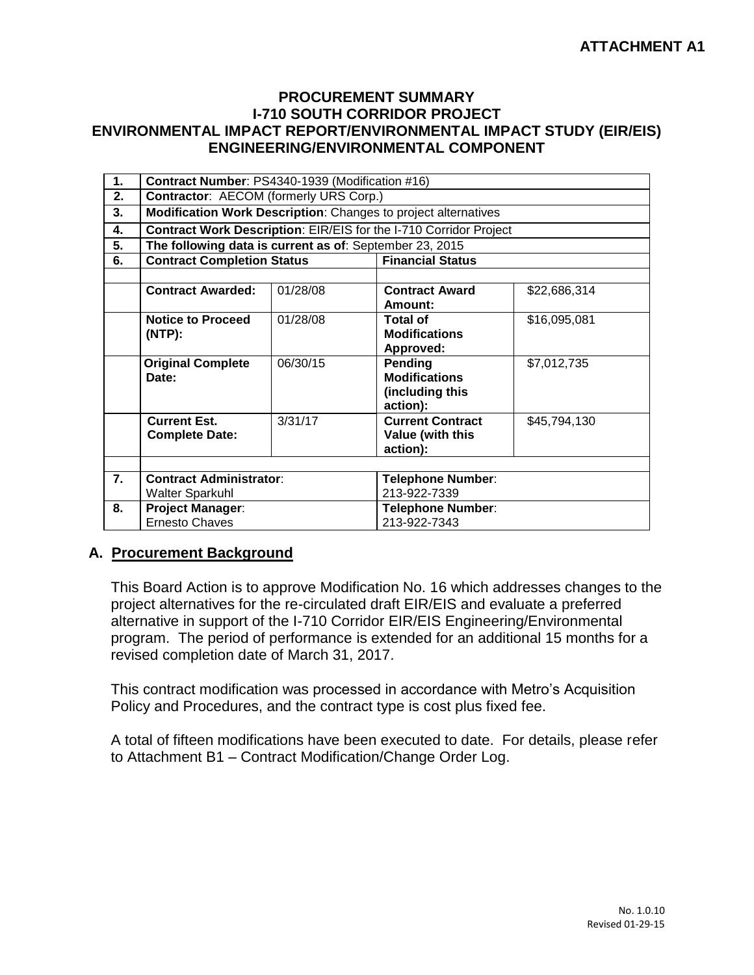## **PROCUREMENT SUMMARY I-710 SOUTH CORRIDOR PROJECT ENVIRONMENTAL IMPACT REPORT/ENVIRONMENTAL IMPACT STUDY (EIR/EIS) ENGINEERING/ENVIRONMENTAL COMPONENT**

| 1.               | Contract Number: PS4340-1939 (Modification #16)                   |          |                                                                             |              |  |  |
|------------------|-------------------------------------------------------------------|----------|-----------------------------------------------------------------------------|--------------|--|--|
| 2.               | Contractor: AECOM (formerly URS Corp.)                            |          |                                                                             |              |  |  |
| 3.               | Modification Work Description: Changes to project alternatives    |          |                                                                             |              |  |  |
| 4.               | Contract Work Description: EIR/EIS for the I-710 Corridor Project |          |                                                                             |              |  |  |
| 5.               | The following data is current as of: September 23, 2015           |          |                                                                             |              |  |  |
| 6.               | <b>Contract Completion Status</b>                                 |          | <b>Financial Status</b>                                                     |              |  |  |
|                  |                                                                   |          |                                                                             |              |  |  |
|                  | <b>Contract Awarded:</b>                                          | 01/28/08 | <b>Contract Award</b><br>Amount:                                            | \$22,686,314 |  |  |
|                  | <b>Notice to Proceed</b><br>(NTP):                                | 01/28/08 | <b>Total of</b><br><b>Modifications</b>                                     | \$16,095,081 |  |  |
|                  | <b>Original Complete</b><br>Date:                                 | 06/30/15 | Approved:<br>Pending<br><b>Modifications</b><br>(including this<br>action): | \$7,012,735  |  |  |
|                  | <b>Current Est.</b><br><b>Complete Date:</b>                      | 3/31/17  | <b>Current Contract</b><br>Value (with this<br>action):                     | \$45,794,130 |  |  |
|                  |                                                                   |          |                                                                             |              |  |  |
| $\overline{7}$ . | <b>Contract Administrator:</b><br><b>Walter Sparkuhl</b>          |          | <b>Telephone Number:</b><br>213-922-7339                                    |              |  |  |
| 8.               | <b>Project Manager:</b><br><b>Ernesto Chaves</b>                  |          | <b>Telephone Number:</b><br>213-922-7343                                    |              |  |  |

## **A. Procurement Background**

This Board Action is to approve Modification No. 16 which addresses changes to the project alternatives for the re-circulated draft EIR/EIS and evaluate a preferred alternative in support of the I-710 Corridor EIR/EIS Engineering/Environmental program. The period of performance is extended for an additional 15 months for a revised completion date of March 31, 2017.

This contract modification was processed in accordance with Metro's Acquisition Policy and Procedures, and the contract type is cost plus fixed fee.

A total of fifteen modifications have been executed to date. For details, please refer to Attachment B1 – Contract Modification/Change Order Log.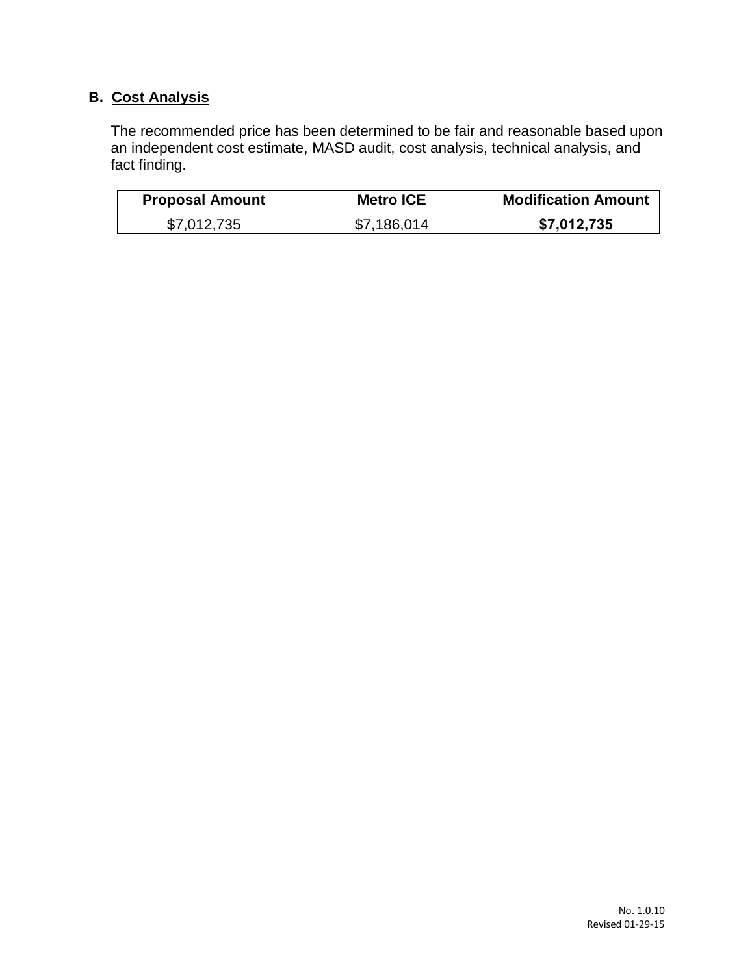## **B. Cost Analysis**

The recommended price has been determined to be fair and reasonable based upon an independent cost estimate, MASD audit, cost analysis, technical analysis, and fact finding.

| <b>Proposal Amount</b> | <b>Metro ICE</b> | <b>Modification Amount</b> |
|------------------------|------------------|----------------------------|
| \$7,012,735            | \$7,186,014      | \$7,012,735                |